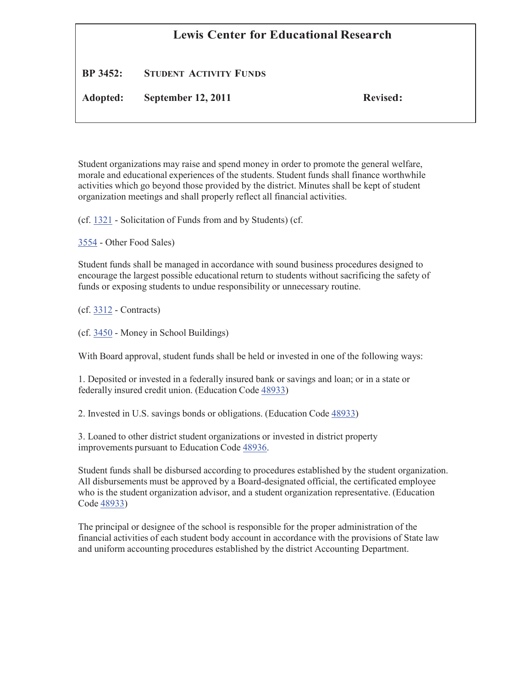## **Lewis Center for Educational Research**

## **BP 3452: STUDENT ACTIVITY FUNDS**

**Adopted: September 12, 2011 Revised:**

Student organizations may raise and spend money in order to promote the general welfare, morale and educational experiences of the students. Student funds shall finance worthwhile activities which go beyond those provided by the district. Minutes shall be kept of student organization meetings and shall properly reflect all financial activities.

(cf. 1321 - Solicitation of Funds from and by Students) (cf.

3554 - Other Food Sales)

Student funds shall be managed in accordance with sound business procedures designed to encourage the largest possible educational return to students without sacrificing the safety of funds or exposing students to undue responsibility or unnecessary routine.

(cf. 3312 - Contracts)

(cf. 3450 - Money in School Buildings)

With Board approval, student funds shall be held or invested in one of the following ways:

1. Deposited or invested in a federally insured bank or savings and loan; or in a state or federally insured credit union. (Education Code 48933)

2. Invested in U.S. savings bonds or obligations. (Education Code 48933)

3. Loaned to other district student organizations or invested in district property improvements pursuant to Education Code 48936.

Student funds shall be disbursed according to procedures established by the student organization. All disbursements must be approved by a Board-designated official, the certificated employee who is the student organization advisor, and a student organization representative. (Education Code 48933)

The principal or designee of the school is responsible for the proper administration of the financial activities of each student body account in accordance with the provisions of State law and uniform accounting procedures established by the district Accounting Department.